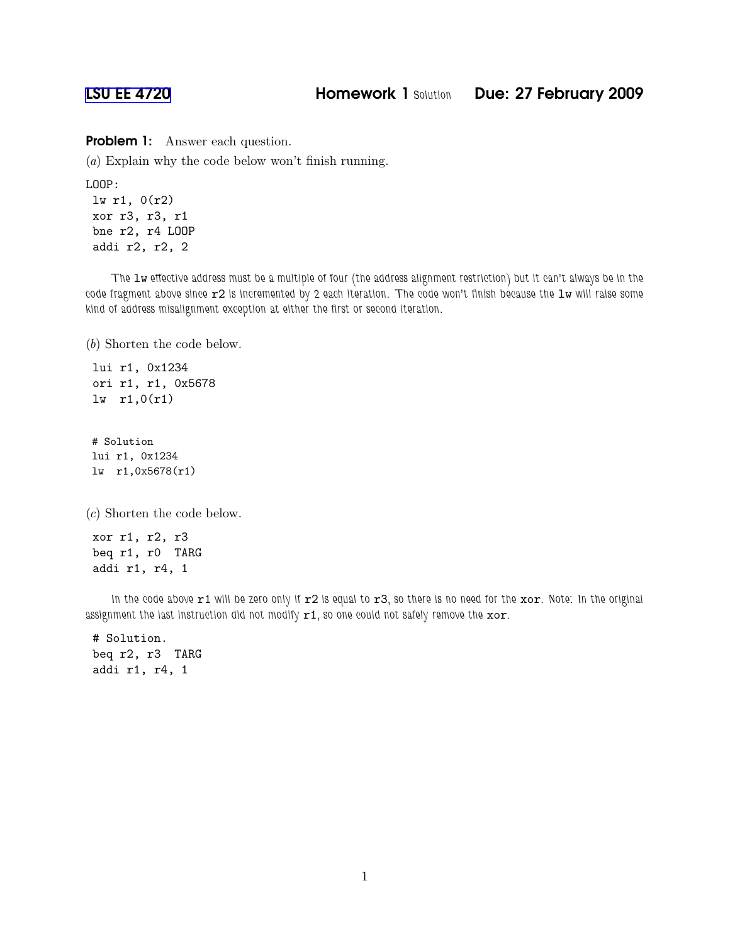## [LSU EE 4720](http://www.ece.lsu.edu/ee4720/) **Homework 1 Solution** Due: 27 February 2009

Problem 1: Answer each question.

(a) Explain why the code below won't finish running.

LOOP:

lw r1, 0(r2) xor r3, r3, r1 bne r2, r4 LOOP addi r2, r2, 2

The lw effective address must be a multiple of four (the address alignment restriction) but it can't always be in the code fragment above since  $r2$  is incremented by 2 each iteration. The code won't finish because the  $1w$  will raise some kind of address misalignment exception at either the first or second iteration.

(b) Shorten the code below.

```
lui r1, 0x1234
ori r1, r1, 0x5678
lw r1,0(r1)
```
# Solution lui r1, 0x1234 lw r1,0x5678(r1)

(c) Shorten the code below.

xor r1, r2, r3 beq r1, r0 TARG addi r1, r4, 1

In the code above  $r1$  will be zero only if  $r2$  is equal to  $r3$ , so there is no need for the xor. Note: In the original assignment the last instruction did not modify  $r1$ , so one could not safely remove the xor.

# Solution. beq r2, r3 TARG addi r1, r4, 1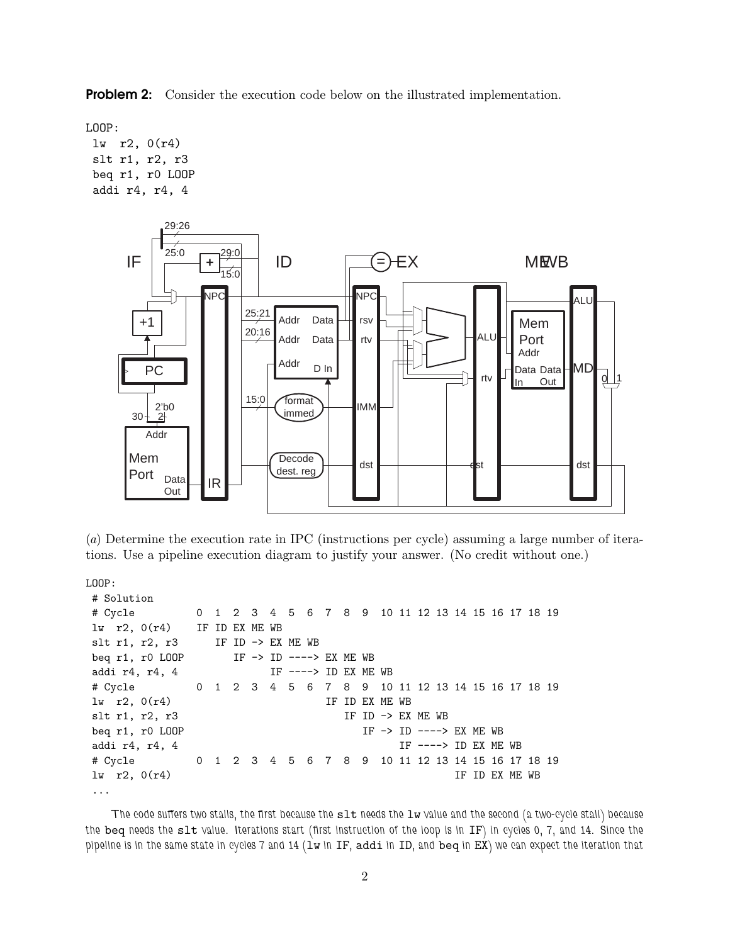**Problem 2:** Consider the execution code below on the illustrated implementation.

LOOP:

lw r2, 0(r4) slt r1, r2, r3 beq r1, r0 LOOP addi r4, r4, 4



(a) Determine the execution rate in IPC (instructions per cycle) assuming a large number of iterations. Use a pipeline execution diagram to justify your answer. (No credit without one.)

```
LOOP:
```

```
# Solution
# Cycle 0 1 2 3 4 5 6 7 8 9 10 11 12 13 14 15 16 17 18 19
lw r2, 0(r4) IF ID EX ME WB
slt r1, r2, r3 IF ID -> EX ME WB
beq r1, r0 LOOP IF -> ID ----> EX ME WB
addi r4, r4, 4 IF ----> ID EX ME WB
# Cycle 0 1 2 3 4 5 6 7 8 9 10 11 12 13 14 15 16 17 18 19
\ln r2, 0(r4) IF ID EX ME WB
slt r1, r2, r3 IF ID -> EX ME WB
beq r1, r0 LOOP IF -> ID ----> EX ME WB
addi r4, r4, 4 				 IF ----> ID EX ME WB
# Cycle 0 1 2 3 4 5 6 7 8 9 10 11 12 13 14 15 16 17 18 19
\ln r2, 0(r4) IF ID EX ME WB
...
```
The code suffers two stalls, the first because the slt needs the lw value and the second (a two-cycle stall) because the beq needs the slt value. Iterations start (first instruction of the loop is in IF) in cycles 0, 7, and 14. Since the pipeline is in the same state in cycles 7 and 14 ( $1w$  in  $IF$ , addi in  $ID$ , and beq in  $EX$ ) we can expect the iteration that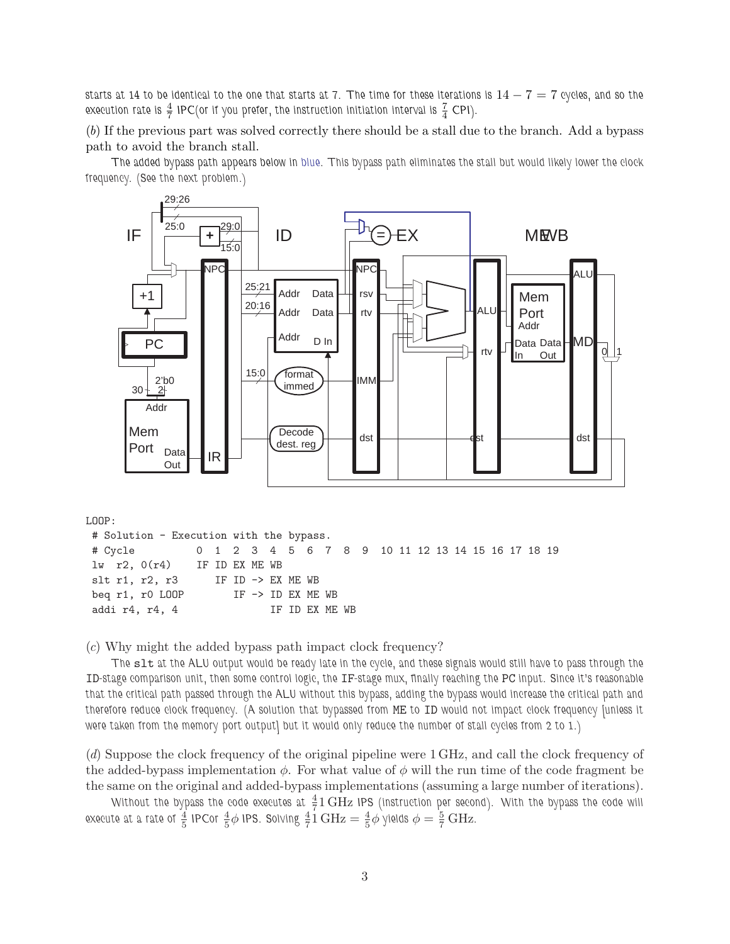starts at 14 to be identical to the one that starts at 7. The time for these iterations is  $14 - 7 = 7$  cycles, and so the execution rate is  $\frac{4}{7}$  IPC(or if you prefer, the instruction initiation interval is  $\frac{7}{4}$  CPI).

(b) If the previous part was solved correctly there should be a stall due to the branch. Add a bypass path to avoid the branch stall.

The added bypass path appears below in blue. This bypass path eliminates the stall but would likely lower the clock frequency. (See the next problem.)



LOOP:

# Solution - Execution with the bypass. # Cycle 0 1 2 3 4 5 6 7 8 9 10 11 12 13 14 15 16 17 18 19 lw r2, 0(r4) IF ID EX ME WB slt r1, r2, r3 IF ID -> EX ME WB beq r1, r0 LOOP IF -> ID EX ME WB addi r4, r4, 4 IF ID EX ME WB

(c) Why might the added bypass path impact clock frequency?

The slt at the ALU output would be ready late in the cycle, and these signals would still have to pass through the ID-stage comparison unit, then some control logic, the IF-stage mux, finally reaching the PC input. Since it's reasonable that the critical path passed through the ALU without this bypass, adding the bypass would increase the critical path and therefore reduce clock frequency. (A solution that bypassed from ME to ID would not impact clock frequency [unless it were taken from the memory port output] but it would only reduce the number of stall cycles from 2 to 1.)

(d) Suppose the clock frequency of the original pipeline were 1 GHz, and call the clock frequency of the added-bypass implementation  $\phi$ . For what value of  $\phi$  will the run time of the code fragment be the same on the original and added-bypass implementations (assuming a large number of iterations).

Without the bypass the code executes at  $\frac{4}{7}1\,\rm{GHz}$  IPS (instruction per second). With the bypass the code will execute at a rate of  $\frac{4}{5}$  IPCor  $\frac{4}{5}\phi$  IPS. Solving  $\frac{4}{7}1\,\mathrm{GHz} = \frac{4}{5}\phi$  yields  $\phi = \frac{5}{7}\,\mathrm{GHz}$ .